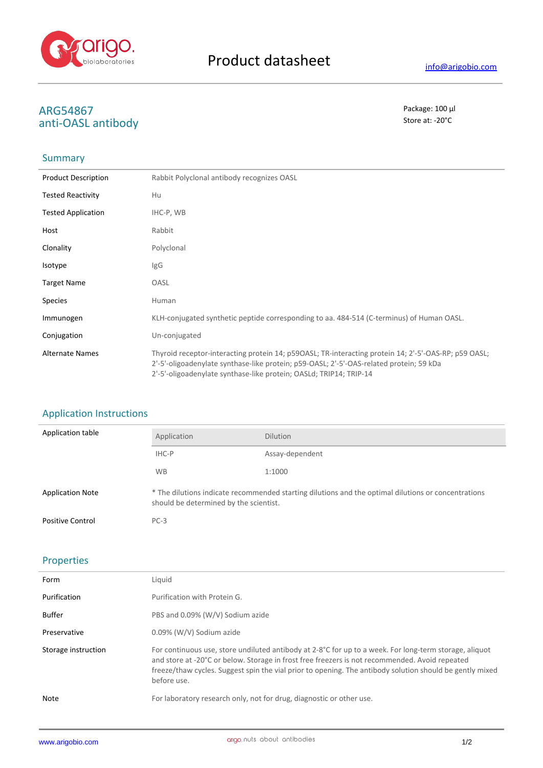

# **ARG54867** Package: 100 μl<br>
anti-ΩΛSL antibody anti-OASL antibody

## Summary

| <b>Product Description</b> | Rabbit Polyclonal antibody recognizes OASL                                                                                                                                                                                                                            |
|----------------------------|-----------------------------------------------------------------------------------------------------------------------------------------------------------------------------------------------------------------------------------------------------------------------|
| <b>Tested Reactivity</b>   | Hu                                                                                                                                                                                                                                                                    |
| <b>Tested Application</b>  | IHC-P, WB                                                                                                                                                                                                                                                             |
| Host                       | Rabbit                                                                                                                                                                                                                                                                |
| Clonality                  | Polyclonal                                                                                                                                                                                                                                                            |
| <b>Isotype</b>             | lgG                                                                                                                                                                                                                                                                   |
| <b>Target Name</b>         | OASL                                                                                                                                                                                                                                                                  |
| <b>Species</b>             | Human                                                                                                                                                                                                                                                                 |
| Immunogen                  | KLH-conjugated synthetic peptide corresponding to aa. 484-514 (C-terminus) of Human OASL.                                                                                                                                                                             |
| Conjugation                | Un-conjugated                                                                                                                                                                                                                                                         |
| <b>Alternate Names</b>     | Thyroid receptor-interacting protein 14; p59OASL; TR-interacting protein 14; 2'-5'-OAS-RP; p59 OASL;<br>2'-5'-oligoadenylate synthase-like protein; p59-OASL; 2'-5'-OAS-related protein; 59 kDa<br>2'-5'-oligoadenylate synthase-like protein; OASLd; TRIP14; TRIP-14 |

## Application Instructions

| Application table       | Application                                                                                                                                   | <b>Dilution</b> |
|-------------------------|-----------------------------------------------------------------------------------------------------------------------------------------------|-----------------|
|                         | IHC-P                                                                                                                                         | Assay-dependent |
|                         | <b>WB</b>                                                                                                                                     | 1:1000          |
| <b>Application Note</b> | * The dilutions indicate recommended starting dilutions and the optimal dilutions or concentrations<br>should be determined by the scientist. |                 |
| <b>Positive Control</b> | $PC-3$                                                                                                                                        |                 |

### Properties

| Form                | Liauid                                                                                                                                                                                                                                                                                                                                       |
|---------------------|----------------------------------------------------------------------------------------------------------------------------------------------------------------------------------------------------------------------------------------------------------------------------------------------------------------------------------------------|
| Purification        | Purification with Protein G.                                                                                                                                                                                                                                                                                                                 |
| <b>Buffer</b>       | PBS and 0.09% (W/V) Sodium azide                                                                                                                                                                                                                                                                                                             |
| Preservative        | 0.09% (W/V) Sodium azide                                                                                                                                                                                                                                                                                                                     |
| Storage instruction | For continuous use, store undiluted antibody at $2-8^{\circ}C$ for up to a week. For long-term storage, aliquot<br>and store at -20°C or below. Storage in frost free freezers is not recommended. Avoid repeated<br>freeze/thaw cycles. Suggest spin the vial prior to opening. The antibody solution should be gently mixed<br>before use. |
| Note                | For laboratory research only, not for drug, diagnostic or other use.                                                                                                                                                                                                                                                                         |